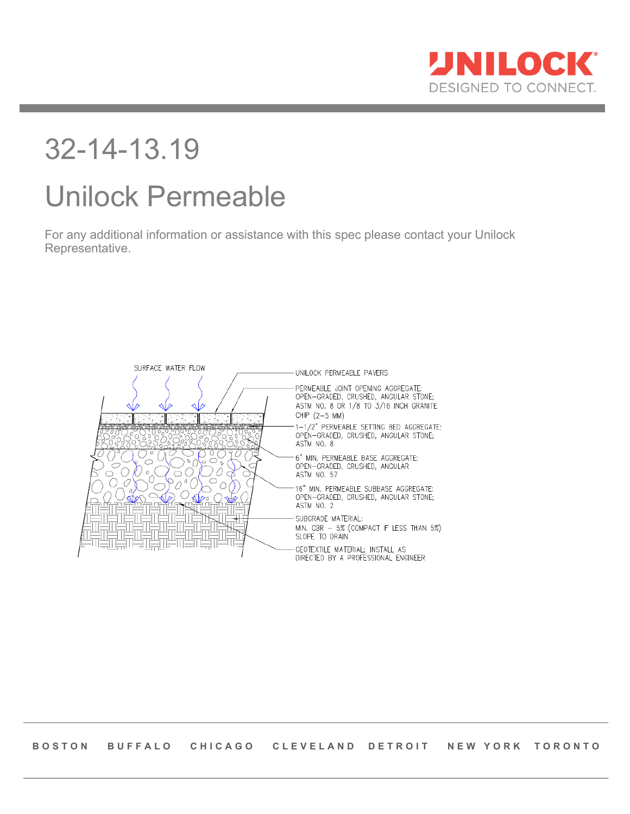

# 32-14-13.19

# Unilock Permeable

For any additional information or assistance with this spec please contact your Unilock Representative.

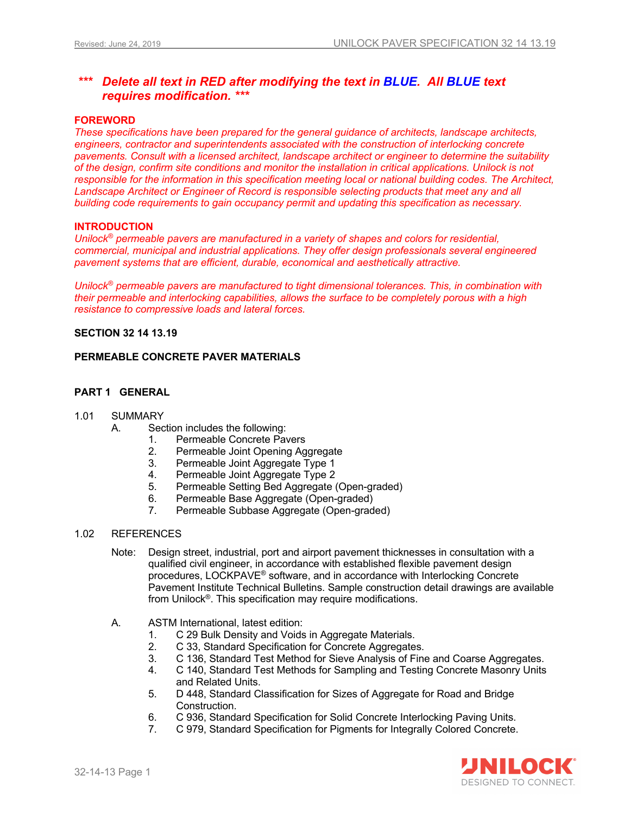#### *\*\*\* Delete all text in RED after modifying the text in BLUE. All BLUE text requires modification. \*\*\**

#### **FOREWORD**

*These specifications have been prepared for the general guidance of architects, landscape architects, engineers, contractor and superintendents associated with the construction of interlocking concrete pavements. Consult with a licensed architect, landscape architect or engineer to determine the suitability of the design, confirm site conditions and monitor the installation in critical applications. Unilock is not*  responsible for the information in this specification meeting local or national building codes. The Architect, Landscape Architect or Engineer of Record is responsible selecting products that meet any and all *building code requirements to gain occupancy permit and updating this specification as necessary.* 

#### **INTRODUCTION**

*Unilock® permeable pavers are manufactured in a variety of shapes and colors for residential, commercial, municipal and industrial applications. They offer design professionals several engineered pavement systems that are efficient, durable, economical and aesthetically attractive.*

*Unilock® permeable pavers are manufactured to tight dimensional tolerances. This, in combination with their permeable and interlocking capabilities, allows the surface to be completely porous with a high resistance to compressive loads and lateral forces.*

#### **SECTION 32 14 13.19**

#### **PERMEABLE CONCRETE PAVER MATERIALS**

#### **PART 1 GENERAL**

#### 1.01 SUMMARY

- A. Section includes the following:
	- 1. Permeable Concrete Pavers
	- 2. Permeable Joint Opening Aggregate
	- 3. Permeable Joint Aggregate Type 1
	- 4. Permeable Joint Aggregate Type 2
	- 5. Permeable Setting Bed Aggregate (Open-graded)
	- 6. Permeable Base Aggregate (Open-graded)
	- 7. Permeable Subbase Aggregate (Open-graded)

#### 1.02 REFERENCES

- Note: Design street, industrial, port and airport pavement thicknesses in consultation with a qualified civil engineer, in accordance with established flexible pavement design procedures, LOCKPAVE® software, and in accordance with Interlocking Concrete Pavement Institute Technical Bulletins. Sample construction detail drawings are available from Unilock®. This specification may require modifications.
- A. ASTM International, latest edition:
	- 1. C 29 Bulk Density and Voids in Aggregate Materials.
	- 2. C 33, Standard Specification for Concrete Aggregates.
	- 3. C 136, Standard Test Method for Sieve Analysis of Fine and Coarse Aggregates.
	- 4. C 140, Standard Test Methods for Sampling and Testing Concrete Masonry Units and Related Units.
	- 5. D 448, Standard Classification for Sizes of Aggregate for Road and Bridge Construction.
	- 6. C 936, Standard Specification for Solid Concrete Interlocking Paving Units.
	- 7. C 979, Standard Specification for Pigments for Integrally Colored Concrete.

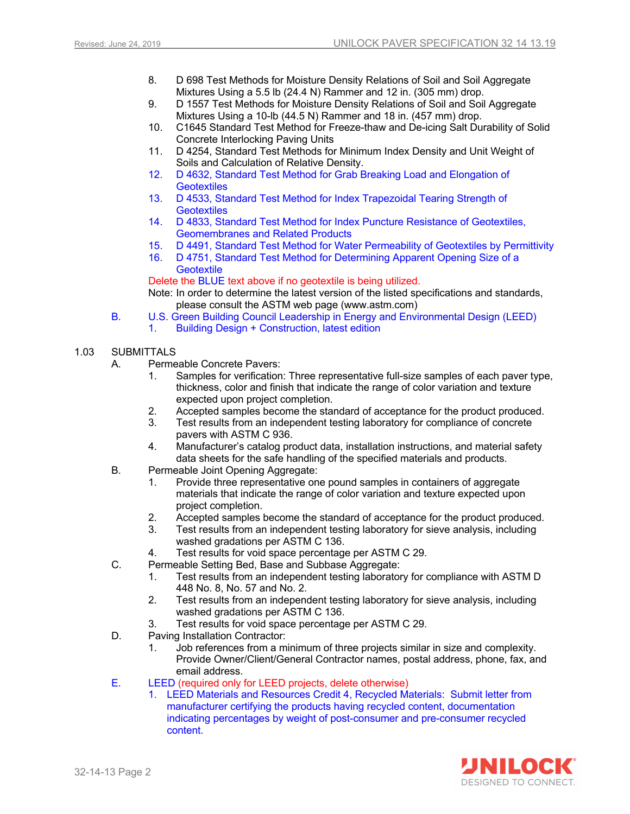- 8. D 698 Test Methods for Moisture Density Relations of Soil and Soil Aggregate Mixtures Using a 5.5 lb (24.4 N) Rammer and 12 in. (305 mm) drop.
- 9. D 1557 Test Methods for Moisture Density Relations of Soil and Soil Aggregate Mixtures Using a 10-lb (44.5 N) Rammer and 18 in. (457 mm) drop.
- 10. C1645 Standard Test Method for Freeze-thaw and De-icing Salt Durability of Solid Concrete Interlocking Paving Units
- 11. D 4254, Standard Test Methods for Minimum Index Density and Unit Weight of Soils and Calculation of Relative Density.
- 12. D 4632, Standard Test Method for Grab Breaking Load and Elongation of **Geotextiles**
- 13. D 4533, Standard Test Method for Index Trapezoidal Tearing Strength of **Geotextiles**
- 14. D 4833, Standard Test Method for Index Puncture Resistance of Geotextiles, Geomembranes and Related Products
- 15. D 4491, Standard Test Method for Water Permeability of Geotextiles by Permittivity
- 16. D 4751, Standard Test Method for Determining Apparent Opening Size of a **Geotextile**

Delete the BLUE text above if no geotextile is being utilized.

Note: In order to determine the latest version of the listed specifications and standards, please consult the ASTM web page (www.astm.com)

- B. U.S. Green Building Council Leadership in Energy and Environmental Design (LEED)
	- 1. Building Design + Construction, latest edition
- 1.03 SUBMITTALS
	- A. Permeable Concrete Pavers:
		- 1. Samples for verification: Three representative full-size samples of each paver type, thickness, color and finish that indicate the range of color variation and texture expected upon project completion.
		- 2. Accepted samples become the standard of acceptance for the product produced.
		- 3. Test results from an independent testing laboratory for compliance of concrete pavers with ASTM C 936.
		- 4. Manufacturer's catalog product data, installation instructions, and material safety data sheets for the safe handling of the specified materials and products.
	- B. Permeable Joint Opening Aggregate:
		- 1. Provide three representative one pound samples in containers of aggregate materials that indicate the range of color variation and texture expected upon project completion.
		- 2. Accepted samples become the standard of acceptance for the product produced.
		- 3. Test results from an independent testing laboratory for sieve analysis, including washed gradations per ASTM C 136.
		- 4. Test results for void space percentage per ASTM C 29.
	- C. Permeable Setting Bed, Base and Subbase Aggregate:
		- 1. Test results from an independent testing laboratory for compliance with ASTM D 448 No. 8, No. 57 and No. 2.
		- 2. Test results from an independent testing laboratory for sieve analysis, including washed gradations per ASTM C 136.
		- 3. Test results for void space percentage per ASTM C 29.
	- D. Paving Installation Contractor:
		- 1. Job references from a minimum of three projects similar in size and complexity. Provide Owner/Client/General Contractor names, postal address, phone, fax, and email address.
	- E. LEED (required only for LEED projects, delete otherwise)
		- 1. LEED Materials and Resources Credit 4, Recycled Materials: Submit letter from manufacturer certifying the products having recycled content, documentation indicating percentages by weight of post-consumer and pre-consumer recycled content.

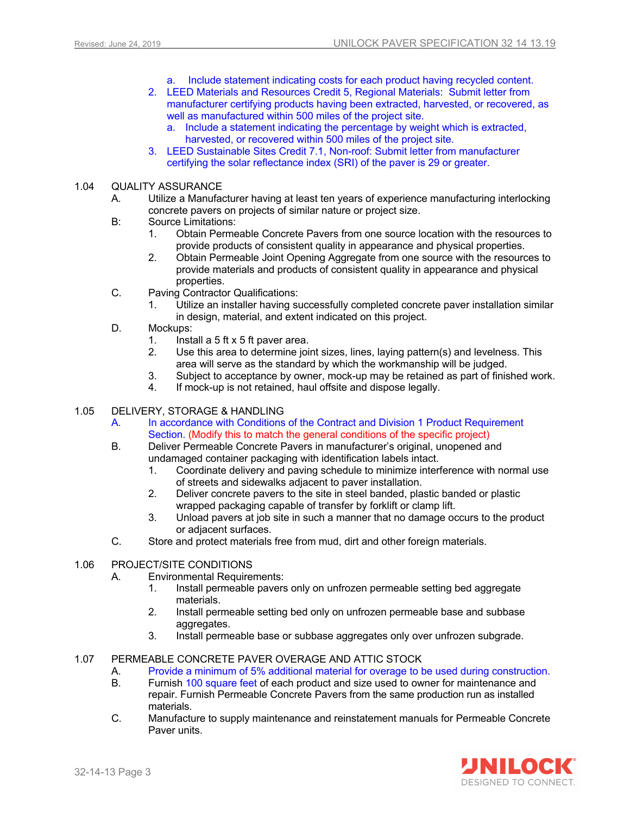- a. Include statement indicating costs for each product having recycled content.
- 2. LEED Materials and Resources Credit 5, Regional Materials: Submit letter from manufacturer certifying products having been extracted, harvested, or recovered, as well as manufactured within 500 miles of the project site.
	- a. Include a statement indicating the percentage by weight which is extracted, harvested, or recovered within 500 miles of the project site.
- 3. LEED Sustainable Sites Credit 7.1, Non-roof: Submit letter from manufacturer certifying the solar reflectance index (SRI) of the paver is 29 or greater.

#### 1.04 QUALITY ASSURANCE

- A. Utilize a Manufacturer having at least ten years of experience manufacturing interlocking concrete pavers on projects of similar nature or project size.
- B: Source Limitations:
	- 1. Obtain Permeable Concrete Pavers from one source location with the resources to provide products of consistent quality in appearance and physical properties.
	- 2. Obtain Permeable Joint Opening Aggregate from one source with the resources to provide materials and products of consistent quality in appearance and physical properties.
- C. Paving Contractor Qualifications:
	- 1. Utilize an installer having successfully completed concrete paver installation similar in design, material, and extent indicated on this project.
- D. Mockups:
	- 1. Install a 5 ft x 5 ft paver area.<br>2. Use this area to determine joi
	- Use this area to determine joint sizes, lines, laying pattern(s) and levelness. This area will serve as the standard by which the workmanship will be judged.
	- 3. Subject to acceptance by owner, mock-up may be retained as part of finished work.
	- 4. If mock-up is not retained, haul offsite and dispose legally.

#### 1.05 DELIVERY, STORAGE & HANDLING

- A. In accordance with Conditions of the Contract and Division 1 Product Requirement Section. (Modify this to match the general conditions of the specific project)
- B. Deliver Permeable Concrete Pavers in manufacturer's original, unopened and undamaged container packaging with identification labels intact.
	- 1. Coordinate delivery and paving schedule to minimize interference with normal use of streets and sidewalks adjacent to paver installation.
	- 2. Deliver concrete pavers to the site in steel banded, plastic banded or plastic wrapped packaging capable of transfer by forklift or clamp lift.
	- 3. Unload pavers at job site in such a manner that no damage occurs to the product or adjacent surfaces.
- C. Store and protect materials free from mud, dirt and other foreign materials.

#### 1.06 PROJECT/SITE CONDITIONS

- A. Environmental Requirements:
	- 1. Install permeable pavers only on unfrozen permeable setting bed aggregate materials.
	- 2. Install permeable setting bed only on unfrozen permeable base and subbase aggregates.
	- 3. Install permeable base or subbase aggregates only over unfrozen subgrade.

#### 1.07 PERMEABLE CONCRETE PAVER OVERAGE AND ATTIC STOCK

- A. Provide a minimum of 5% additional material for overage to be used during construction.
- B. Furnish 100 square feet of each product and size used to owner for maintenance and repair. Furnish Permeable Concrete Pavers from the same production run as installed materials.
- C. Manufacture to supply maintenance and reinstatement manuals for Permeable Concrete Paver units.

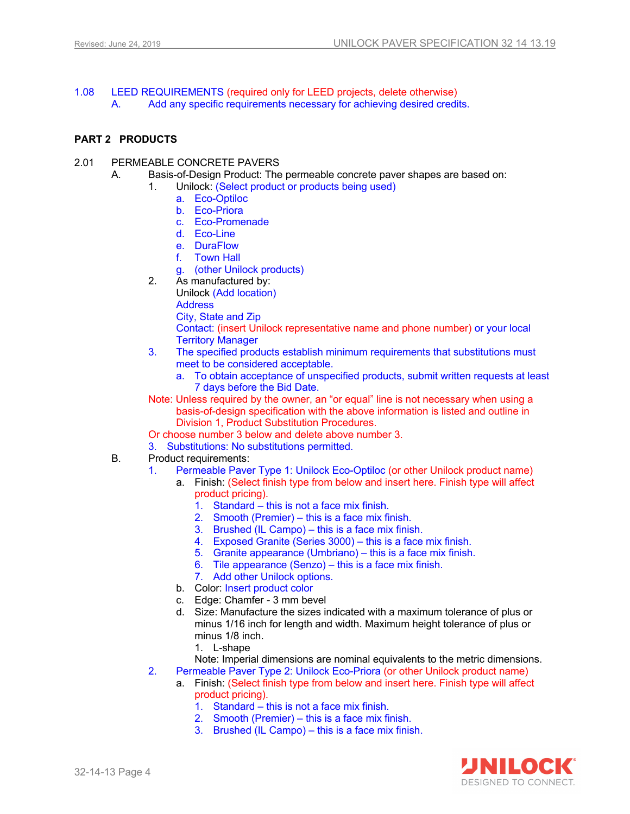- 1.08 LEED REQUIREMENTS (required only for LEED projects, delete otherwise)
	- A. Add any specific requirements necessary for achieving desired credits.

#### **PART 2 PRODUCTS**

- 2.01 PERMEABLE CONCRETE PAVERS
	- A. Basis-of-Design Product: The permeable concrete paver shapes are based on:
		- Unilock: (Select product or products being used)
			- a. Eco-Optiloc
			- b. Eco-Priora
			- c. Eco-Promenade
			- d. Eco-Line
			- e. DuraFlow
			- f. Town Hall
			- g. (other Unilock products)
		- 2. As manufactured by:
			- Unilock (Add location)

**Address** 

City, State and Zip

Contact: (insert Unilock representative name and phone number) or your local Territory Manager

- 3. The specified products establish minimum requirements that substitutions must meet to be considered acceptable.
	- a. To obtain acceptance of unspecified products, submit written requests at least 7 days before the Bid Date.
- Note: Unless required by the owner, an "or equal" line is not necessary when using a basis-of-design specification with the above information is listed and outline in Division 1, Product Substitution Procedures.
- Or choose number 3 below and delete above number 3.
- 3. Substitutions: No substitutions permitted.
- B. Product requirements:
	- 1. Permeable Paver Type 1: Unilock Eco-Optiloc (or other Unilock product name)
		- a. Finish: (Select finish type from below and insert here. Finish type will affect product pricing).
			- 1. Standard this is not a face mix finish.
			- 2. Smooth (Premier) this is a face mix finish.
			- 3. Brushed (IL Campo) this is a face mix finish.
			- 4. Exposed Granite (Series 3000) this is a face mix finish.
			- 5. Granite appearance (Umbriano) this is a face mix finish.
			- 6. Tile appearance (Senzo) this is a face mix finish.
			- 7. Add other Unilock options.
		- b. Color: Insert product color
		- c. Edge: Chamfer 3 mm bevel
		- d. Size: Manufacture the sizes indicated with a maximum tolerance of plus or minus 1/16 inch for length and width. Maximum height tolerance of plus or minus 1/8 inch.
			- 1. L-shape
		- Note: Imperial dimensions are nominal equivalents to the metric dimensions.
	- 2. Permeable Paver Type 2: Unilock Eco-Priora (or other Unilock product name)
		- a. Finish: (Select finish type from below and insert here. Finish type will affect product pricing).
			- 1. Standard this is not a face mix finish.
			- 2. Smooth (Premier) this is a face mix finish.
			- 3. Brushed (IL Campo) this is a face mix finish.

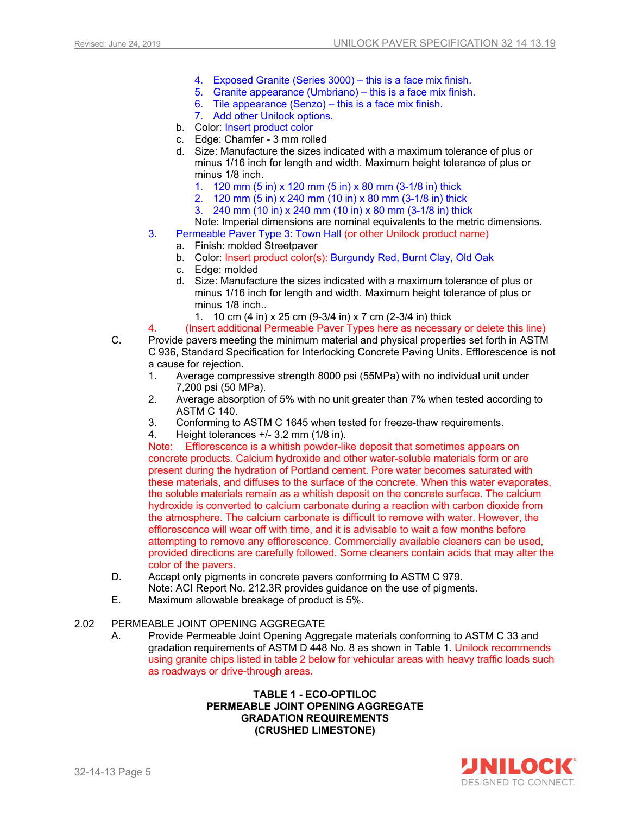- 4. Exposed Granite (Series 3000) this is a face mix finish.
- 5. Granite appearance (Umbriano) this is a face mix finish.
- 6. Tile appearance (Senzo) this is a face mix finish.
- 7. Add other Unilock options.
- b. Color: Insert product color
- c. Edge: Chamfer 3 mm rolled
- d. Size: Manufacture the sizes indicated with a maximum tolerance of plus or minus 1/16 inch for length and width. Maximum height tolerance of plus or minus 1/8 inch.
	- 1. 120 mm (5 in) x 120 mm (5 in) x 80 mm (3-1/8 in) thick
	- 2. 120 mm (5 in) x 240 mm (10 in) x 80 mm (3-1/8 in) thick
	- 3. 240 mm (10 in) x 240 mm (10 in) x 80 mm (3-1/8 in) thick
- Note: Imperial dimensions are nominal equivalents to the metric dimensions.
- 3. Permeable Paver Type 3: Town Hall (or other Unilock product name)
	- a. Finish: molded Streetpaver
	- b. Color: Insert product color(s): Burgundy Red, Burnt Clay, Old Oak
	- c. Edge: molded
	- d. Size: Manufacture the sizes indicated with a maximum tolerance of plus or minus 1/16 inch for length and width. Maximum height tolerance of plus or minus 1/8 inch..
		- 1. 10 cm (4 in) x 25 cm (9-3/4 in) x 7 cm (2-3/4 in) thick
- 4. (Insert additional Permeable Paver Types here as necessary or delete this line)
- C. Provide pavers meeting the minimum material and physical properties set forth in ASTM C 936, Standard Specification for Interlocking Concrete Paving Units. Efflorescence is not a cause for rejection.
	- 1. Average compressive strength 8000 psi (55MPa) with no individual unit under 7,200 psi (50 MPa).
	- 2. Average absorption of 5% with no unit greater than 7% when tested according to ASTM C 140.
	- 3. Conforming to ASTM C 1645 when tested for freeze-thaw requirements.
	- 4. Height tolerances +/- 3.2 mm (1/8 in).

Note: Efflorescence is a whitish powder-like deposit that sometimes appears on concrete products. Calcium hydroxide and other water-soluble materials form or are present during the hydration of Portland cement. Pore water becomes saturated with these materials, and diffuses to the surface of the concrete. When this water evaporates, the soluble materials remain as a whitish deposit on the concrete surface. The calcium hydroxide is converted to calcium carbonate during a reaction with carbon dioxide from the atmosphere. The calcium carbonate is difficult to remove with water. However, the efflorescence will wear off with time, and it is advisable to wait a few months before attempting to remove any efflorescence. Commercially available cleaners can be used, provided directions are carefully followed. Some cleaners contain acids that may alter the color of the pavers.

- D. Accept only pigments in concrete pavers conforming to ASTM C 979. Note: ACI Report No. 212.3R provides guidance on the use of pigments.
- E. Maximum allowable breakage of product is 5%.

#### 2.02 PERMEABLE JOINT OPENING AGGREGATE

A. Provide Permeable Joint Opening Aggregate materials conforming to ASTM C 33 and gradation requirements of ASTM D 448 No. 8 as shown in Table 1. Unilock recommends using granite chips listed in table 2 below for vehicular areas with heavy traffic loads such as roadways or drive-through areas.

#### **TABLE 1 - ECO-OPTILOC PERMEABLE JOINT OPENING AGGREGATE GRADATION REQUIREMENTS (CRUSHED LIMESTONE)**

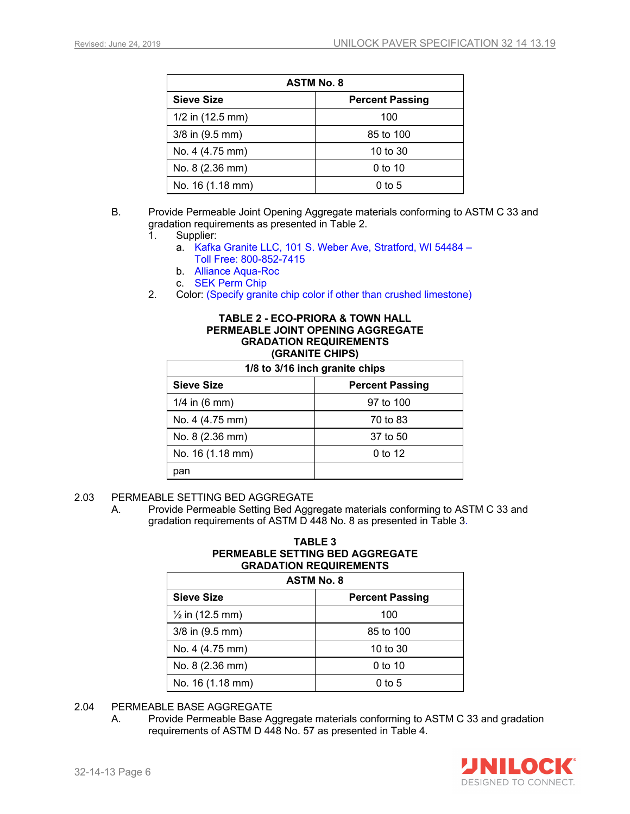| <b>ASTM No. 8</b>  |                        |  |
|--------------------|------------------------|--|
| <b>Sieve Size</b>  | <b>Percent Passing</b> |  |
| $1/2$ in (12.5 mm) | 100                    |  |
| 3/8 in (9.5 mm)    | 85 to 100              |  |
| No. 4 (4.75 mm)    | 10 to 30               |  |
| No. 8 (2.36 mm)    | $0$ to 10              |  |
| No. 16 (1.18 mm)   | $0$ to 5               |  |

- B. Provide Permeable Joint Opening Aggregate materials conforming to ASTM C 33 and gradation requirements as presented in Table 2.
	- 1. Supplier:
		- a. Kafka Granite LLC, 101 S. Weber Ave, Stratford, WI 54484 Toll Free: 800-852-7415
		- b. Alliance Aqua-Roc
		- c. SEK Perm Chip
	- 2. Color: (Specify granite chip color if other than crushed limestone)

#### **TABLE 2 - ECO-PRIORA & TOWN HALL PERMEABLE JOINT OPENING AGGREGATE GRADATION REQUIREMENTS (GRANITE CHIPS)**

| 1/8 to 3/16 inch granite chips |                        |
|--------------------------------|------------------------|
| <b>Sieve Size</b>              | <b>Percent Passing</b> |
| $1/4$ in (6 mm)                | 97 to 100              |
| No. 4 (4.75 mm)                | 70 to 83               |
| No. $8(2.36 \text{ mm})$       | 37 to 50               |
| No. 16 (1.18 mm)               | 0 to 12                |
| pan                            |                        |

- 2.03 PERMEABLE SETTING BED AGGREGATE
	- A. Provide Permeable Setting Bed Aggregate materials conforming to ASTM C 33 and gradation requirements of ASTM D 448 No. 8 as presented in Table 3.

#### **TABLE 3 PERMEABLE SETTING BED AGGREGATE GRADATION REQUIREMENTS**

| <b>ASTM No. 8</b>          |                        |  |
|----------------------------|------------------------|--|
| <b>Sieve Size</b>          | <b>Percent Passing</b> |  |
| $\frac{1}{2}$ in (12.5 mm) | 100                    |  |
| $3/8$ in $(9.5$ mm)        | 85 to 100              |  |
| No. 4 (4.75 mm)            | 10 to $30$             |  |
| No. 8 (2.36 mm)            | $0$ to 10              |  |
| No. 16 (1.18 mm)           | $0$ to 5               |  |

- 2.04 PERMEABLE BASE AGGREGATE
	- A. Provide Permeable Base Aggregate materials conforming to ASTM C 33 and gradation requirements of ASTM D 448 No. 57 as presented in Table 4.

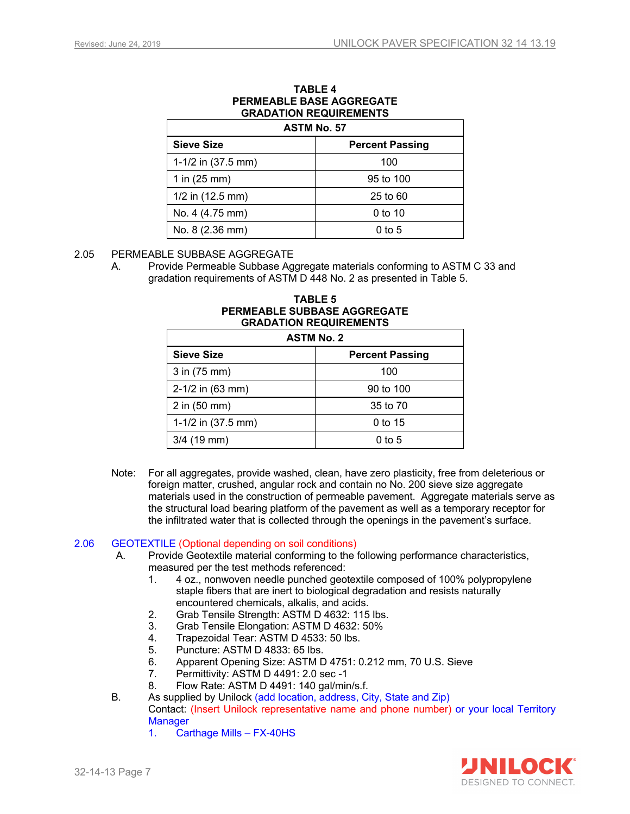| PERMEABLE BASE AGGREGATE<br><b>GRADATION REQUIREMENTS</b><br><b>ASTM No. 57</b> |                        |  |
|---------------------------------------------------------------------------------|------------------------|--|
| <b>Sieve Size</b>                                                               | <b>Percent Passing</b> |  |
| 1-1/2 in (37.5 mm)                                                              | 100                    |  |
| 1 in $(25 \, \text{mm})$                                                        | 95 to 100              |  |
| $1/2$ in (12.5 mm)                                                              | $25$ to $60$           |  |
| No. 4 (4.75 mm)                                                                 | $0$ to 10              |  |
| No. 8 (2.36 mm)                                                                 | 0 to 5                 |  |

## **TABLE 4 PERMEABLE BASE AGGREGATE**

#### 2.05 PERMEABLE SUBBASE AGGREGATE

A. Provide Permeable Subbase Aggregate materials conforming to ASTM C 33 and gradation requirements of ASTM D 448 No. 2 as presented in Table 5.

| <b>GRADATION REQUIREMENTS</b><br><b>ASTM No. 2</b> |                        |  |
|----------------------------------------------------|------------------------|--|
| Sieve Size                                         | <b>Percent Passing</b> |  |
| 3 in (75 mm)                                       | 100                    |  |
| $2-1/2$ in (63 mm)                                 | 90 to 100              |  |
| 2 in (50 mm)                                       | 35 to 70               |  |
| 1-1/2 in (37.5 mm)                                 | 0 to 15                |  |
| $3/4$ (19 mm)                                      | $0$ to $5$             |  |

## **TABLE 5 PERMEABLE SUBBASE AGGREGATE**

Note: For all aggregates, provide washed, clean, have zero plasticity, free from deleterious or foreign matter, crushed, angular rock and contain no No. 200 sieve size aggregate materials used in the construction of permeable pavement. Aggregate materials serve as the structural load bearing platform of the pavement as well as a temporary receptor for the infiltrated water that is collected through the openings in the pavement's surface.

#### 2.06 GEOTEXTILE (Optional depending on soil conditions)

- A. Provide Geotextile material conforming to the following performance characteristics, measured per the test methods referenced:
	- 1. 4 oz., nonwoven needle punched geotextile composed of 100% polypropylene staple fibers that are inert to biological degradation and resists naturally encountered chemicals, alkalis, and acids.
	- 2. Grab Tensile Strength: ASTM D 4632: 115 lbs.
	- 3. Grab Tensile Elongation: ASTM D 4632: 50%
	- 4. Trapezoidal Tear: ASTM D 4533: 50 lbs.
	- Puncture: ASTM D 4833: 65 lbs.
	- 6. Apparent Opening Size: ASTM D 4751: 0.212 mm, 70 U.S. Sieve
	- 7. Permittivity: ASTM D 4491: 2.0 sec -1
	- 8. Flow Rate: ASTM D 4491: 140 gal/min/s.f.
- B. As supplied by Unilock (add location, address, City, State and Zip) Contact: (Insert Unilock representative name and phone number) or your local Territory **Manager** 
	- 1. Carthage Mills FX-40HS

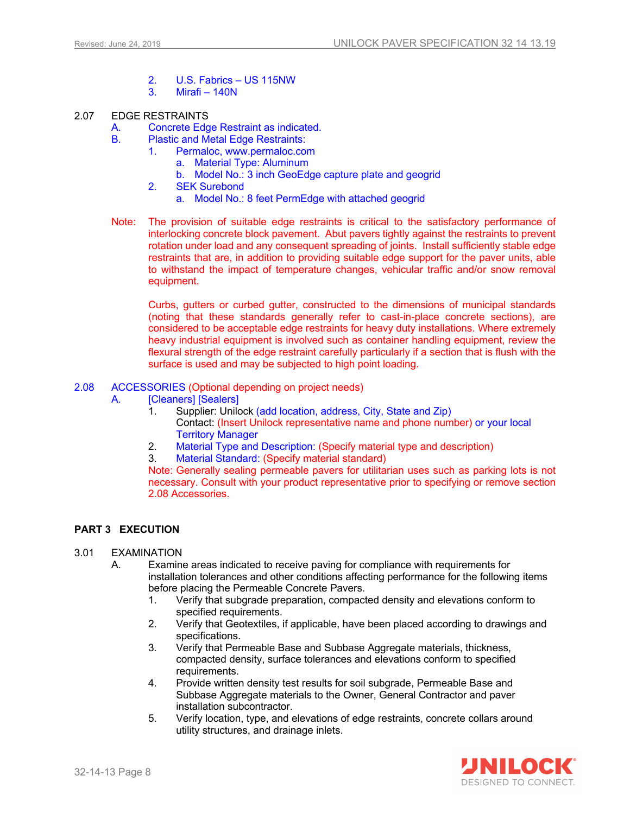- 2. U.S. Fabrics US 115NW
- Mirafi 140N
- 2.07 EDGE RESTRAINTS
	- A. Concrete Edge Restraint as indicated.
	- B. Plastic and Metal Edge Restraints:
		- 1. Permaloc, www.permaloc.com
			- a. Material Type: Aluminum
				- b. Model No.: 3 inch GeoEdge capture plate and geogrid
		- 2. SEK Surebond
			- a. Model No.: 8 feet PermEdge with attached geogrid
	- Note: The provision of suitable edge restraints is critical to the satisfactory performance of interlocking concrete block pavement. Abut pavers tightly against the restraints to prevent rotation under load and any consequent spreading of joints. Install sufficiently stable edge restraints that are, in addition to providing suitable edge support for the paver units, able to withstand the impact of temperature changes, vehicular traffic and/or snow removal equipment.

Curbs, gutters or curbed gutter, constructed to the dimensions of municipal standards (noting that these standards generally refer to cast-in-place concrete sections), are considered to be acceptable edge restraints for heavy duty installations. Where extremely heavy industrial equipment is involved such as container handling equipment, review the flexural strength of the edge restraint carefully particularly if a section that is flush with the surface is used and may be subiected to high point loading.

- 2.08 ACCESSORIES (Optional depending on project needs)
	- A. [Cleaners] [Sealers]
		- 1. Supplier: Unilock (add location, address, City, State and Zip) Contact: (Insert Unilock representative name and phone number) or your local Territory Manager
		- 2. Material Type and Description: (Specify material type and description)
		- 3. Material Standard: (Specify material standard)

Note: Generally sealing permeable pavers for utilitarian uses such as parking lots is not necessary. Consult with your product representative prior to specifying or remove section 2.08 Accessories.

#### **PART 3 EXECUTION**

#### 3.01 EXAMINATION

- A. Examine areas indicated to receive paving for compliance with requirements for installation tolerances and other conditions affecting performance for the following items before placing the Permeable Concrete Pavers.
	- 1. Verify that subgrade preparation, compacted density and elevations conform to specified requirements.
	- 2. Verify that Geotextiles, if applicable, have been placed according to drawings and specifications.
	- 3. Verify that Permeable Base and Subbase Aggregate materials, thickness, compacted density, surface tolerances and elevations conform to specified requirements.
	- 4. Provide written density test results for soil subgrade, Permeable Base and Subbase Aggregate materials to the Owner, General Contractor and paver installation subcontractor.
	- 5. Verify location, type, and elevations of edge restraints, concrete collars around utility structures, and drainage inlets.

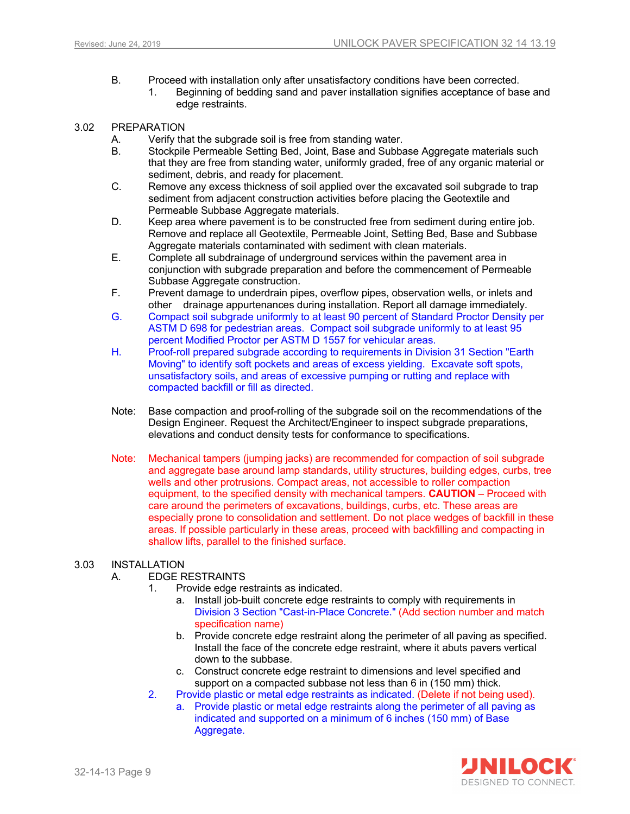- B. Proceed with installation only after unsatisfactory conditions have been corrected.
	- 1. Beginning of bedding sand and paver installation signifies acceptance of base and edge restraints.

#### 3.02 PREPARATION

- A. Verify that the subgrade soil is free from standing water.
- B. Stockpile Permeable Setting Bed, Joint, Base and Subbase Aggregate materials such that they are free from standing water, uniformly graded, free of any organic material or sediment, debris, and ready for placement.
- C. Remove any excess thickness of soil applied over the excavated soil subgrade to trap sediment from adjacent construction activities before placing the Geotextile and Permeable Subbase Aggregate materials.
- D. Keep area where pavement is to be constructed free from sediment during entire job. Remove and replace all Geotextile, Permeable Joint, Setting Bed, Base and Subbase Aggregate materials contaminated with sediment with clean materials.
- E. Complete all subdrainage of underground services within the pavement area in conjunction with subgrade preparation and before the commencement of Permeable Subbase Aggregate construction.
- F. Prevent damage to underdrain pipes, overflow pipes, observation wells, or inlets and other drainage appurtenances during installation. Report all damage immediately.
- G. Compact soil subgrade uniformly to at least 90 percent of Standard Proctor Density per ASTM D 698 for pedestrian areas. Compact soil subgrade uniformly to at least 95 percent Modified Proctor per ASTM D 1557 for vehicular areas.
- H. Proof-roll prepared subgrade according to requirements in Division 31 Section "Earth Moving" to identify soft pockets and areas of excess yielding. Excavate soft spots, unsatisfactory soils, and areas of excessive pumping or rutting and replace with compacted backfill or fill as directed.
- Note: Base compaction and proof-rolling of the subgrade soil on the recommendations of the Design Engineer. Request the Architect/Engineer to inspect subgrade preparations, elevations and conduct density tests for conformance to specifications.
- Note: Mechanical tampers (jumping jacks) are recommended for compaction of soil subgrade and aggregate base around lamp standards, utility structures, building edges, curbs, tree wells and other protrusions. Compact areas, not accessible to roller compaction equipment, to the specified density with mechanical tampers. **CAUTION** – Proceed with care around the perimeters of excavations, buildings, curbs, etc. These areas are especially prone to consolidation and settlement. Do not place wedges of backfill in these areas. If possible particularly in these areas, proceed with backfilling and compacting in shallow lifts, parallel to the finished surface.

#### 3.03 INSTALLATION

#### A. EDGE RESTRAINTS

- 1. Provide edge restraints as indicated.
	- a. Install job-built concrete edge restraints to comply with requirements in Division 3 Section "Cast-in-Place Concrete." (Add section number and match specification name)
	- b. Provide concrete edge restraint along the perimeter of all paving as specified. Install the face of the concrete edge restraint, where it abuts pavers vertical down to the subbase.
	- c. Construct concrete edge restraint to dimensions and level specified and support on a compacted subbase not less than 6 in (150 mm) thick.
- 2. Provide plastic or metal edge restraints as indicated. (Delete if not being used).
	- a. Provide plastic or metal edge restraints along the perimeter of all paving as indicated and supported on a minimum of 6 inches (150 mm) of Base Aggregate.

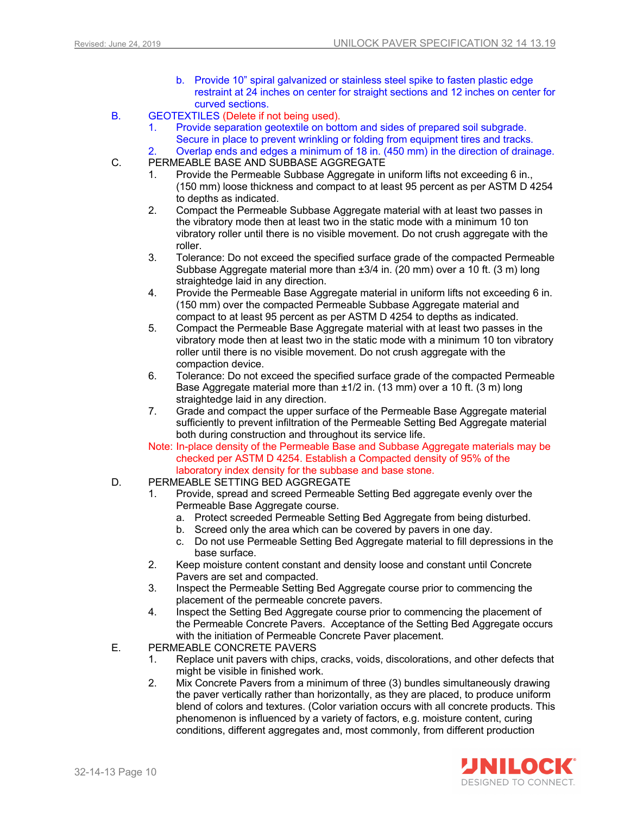- b. Provide 10" spiral galvanized or stainless steel spike to fasten plastic edge restraint at 24 inches on center for straight sections and 12 inches on center for curved sections.
- B. GEOTEXTILES (Delete if not being used).
	- 1. Provide separation geotextile on bottom and sides of prepared soil subgrade. Secure in place to prevent wrinkling or folding from equipment tires and tracks.
	- 2. Overlap ends and edges a minimum of 18 in. (450 mm) in the direction of drainage.
- C. PERMEABLE BASE AND SUBBASE AGGREGATE
	- 1. Provide the Permeable Subbase Aggregate in uniform lifts not exceeding 6 in., (150 mm) loose thickness and compact to at least 95 percent as per ASTM D 4254 to depths as indicated.
	- 2. Compact the Permeable Subbase Aggregate material with at least two passes in the vibratory mode then at least two in the static mode with a minimum 10 ton vibratory roller until there is no visible movement. Do not crush aggregate with the roller.
	- 3. Tolerance: Do not exceed the specified surface grade of the compacted Permeable Subbase Aggregate material more than ±3/4 in. (20 mm) over a 10 ft. (3 m) long straightedge laid in any direction.
	- 4. Provide the Permeable Base Aggregate material in uniform lifts not exceeding 6 in. (150 mm) over the compacted Permeable Subbase Aggregate material and compact to at least 95 percent as per ASTM D 4254 to depths as indicated.
	- 5. Compact the Permeable Base Aggregate material with at least two passes in the vibratory mode then at least two in the static mode with a minimum 10 ton vibratory roller until there is no visible movement. Do not crush aggregate with the compaction device.
	- 6. Tolerance: Do not exceed the specified surface grade of the compacted Permeable Base Aggregate material more than ±1/2 in. (13 mm) over a 10 ft. (3 m) long straightedge laid in any direction.
	- 7. Grade and compact the upper surface of the Permeable Base Aggregate material sufficiently to prevent infiltration of the Permeable Setting Bed Aggregate material both during construction and throughout its service life.
	- Note: In-place density of the Permeable Base and Subbase Aggregate materials may be checked per ASTM D 4254. Establish a Compacted density of 95% of the laboratory index density for the subbase and base stone.
- D. PERMEABLE SETTING BED AGGREGATE
	- 1. Provide, spread and screed Permeable Setting Bed aggregate evenly over the Permeable Base Aggregate course.
		- a. Protect screeded Permeable Setting Bed Aggregate from being disturbed.
		- b. Screed only the area which can be covered by pavers in one day.
		- c. Do not use Permeable Setting Bed Aggregate material to fill depressions in the base surface.
	- 2. Keep moisture content constant and density loose and constant until Concrete Pavers are set and compacted.
	- 3. Inspect the Permeable Setting Bed Aggregate course prior to commencing the placement of the permeable concrete pavers.
	- 4. Inspect the Setting Bed Aggregate course prior to commencing the placement of the Permeable Concrete Pavers. Acceptance of the Setting Bed Aggregate occurs with the initiation of Permeable Concrete Paver placement.
- E. PERMEABLE CONCRETE PAVERS
	- 1. Replace unit pavers with chips, cracks, voids, discolorations, and other defects that might be visible in finished work.
	- 2. Mix Concrete Pavers from a minimum of three (3) bundles simultaneously drawing the paver vertically rather than horizontally, as they are placed, to produce uniform blend of colors and textures. (Color variation occurs with all concrete products. This phenomenon is influenced by a variety of factors, e.g. moisture content, curing conditions, different aggregates and, most commonly, from different production

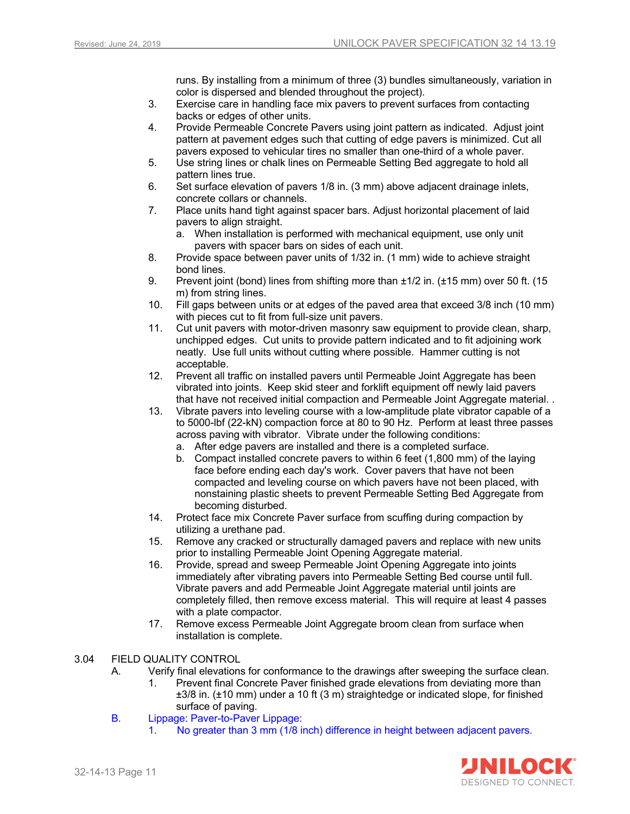runs. By installing from a minimum of three (3) bundles simultaneously, variation in color is dispersed and blended throughout the project).

- 3. Exercise care in handling face mix pavers to prevent surfaces from contacting backs or edges of other units.
- 4. Provide Permeable Concrete Pavers using joint pattern as indicated. Adjust joint pattern at pavement edges such that cutting of edge pavers is minimized. Cut all pavers exposed to vehicular tires no smaller than one-third of a whole paver.
- 5. Use string lines or chalk lines on Permeable Setting Bed aggregate to hold all pattern lines true.
- 6. Set surface elevation of pavers 1/8 in. (3 mm) above adjacent drainage inlets, concrete collars or channels.
- 7. Place units hand tight against spacer bars. Adjust horizontal placement of laid pavers to align straight.
	- a. When installation is performed with mechanical equipment, use only unit pavers with spacer bars on sides of each unit.
- 8. Provide space between paver units of 1/32 in. (1 mm) wide to achieve straight bond lines.
- 9. Prevent joint (bond) lines from shifting more than ±1/2 in. (±15 mm) over 50 ft. (15 m) from string lines.
- 10. Fill gaps between units or at edges of the paved area that exceed 3/8 inch (10 mm) with pieces cut to fit from full-size unit pavers.
- 11. Cut unit pavers with motor-driven masonry saw equipment to provide clean, sharp, unchipped edges. Cut units to provide pattern indicated and to fit adjoining work neatly. Use full units without cutting where possible. Hammer cutting is not acceptable.
- 12. Prevent all traffic on installed pavers until Permeable Joint Aggregate has been vibrated into joints. Keep skid steer and forklift equipment off newly laid pavers that have not received initial compaction and Permeable Joint Aggregate material. .
- 13. Vibrate pavers into leveling course with a low-amplitude plate vibrator capable of a to 5000-lbf (22-kN) compaction force at 80 to 90 Hz. Perform at least three passes across paving with vibrator. Vibrate under the following conditions:
	- a. After edge pavers are installed and there is a completed surface.
	- b. Compact installed concrete pavers to within 6 feet (1,800 mm) of the laying face before ending each day's work. Cover pavers that have not been compacted and leveling course on which pavers have not been placed, with nonstaining plastic sheets to prevent Permeable Setting Bed Aggregate from becoming disturbed.
- 14. Protect face mix Concrete Paver surface from scuffing during compaction by utilizing a urethane pad.
- 15. Remove any cracked or structurally damaged pavers and replace with new units prior to installing Permeable Joint Opening Aggregate material.
- 16. Provide, spread and sweep Permeable Joint Opening Aggregate into joints immediately after vibrating pavers into Permeable Setting Bed course until full. Vibrate pavers and add Permeable Joint Aggregate material until joints are completely filled, then remove excess material. This will require at least 4 passes with a plate compactor.
- 17. Remove excess Permeable Joint Aggregate broom clean from surface when installation is complete.
- 3.04 FIELD QUALITY CONTROL
	- A. Verify final elevations for conformance to the drawings after sweeping the surface clean.
		- Prevent final Concrete Paver finished grade elevations from deviating more than ±3/8 in. (±10 mm) under a 10 ft (3 m) straightedge or indicated slope, for finished surface of paving.
	- B. Lippage: Paver-to-Paver Lippage:
		- 1. No greater than 3 mm (1/8 inch) difference in height between adjacent pavers.